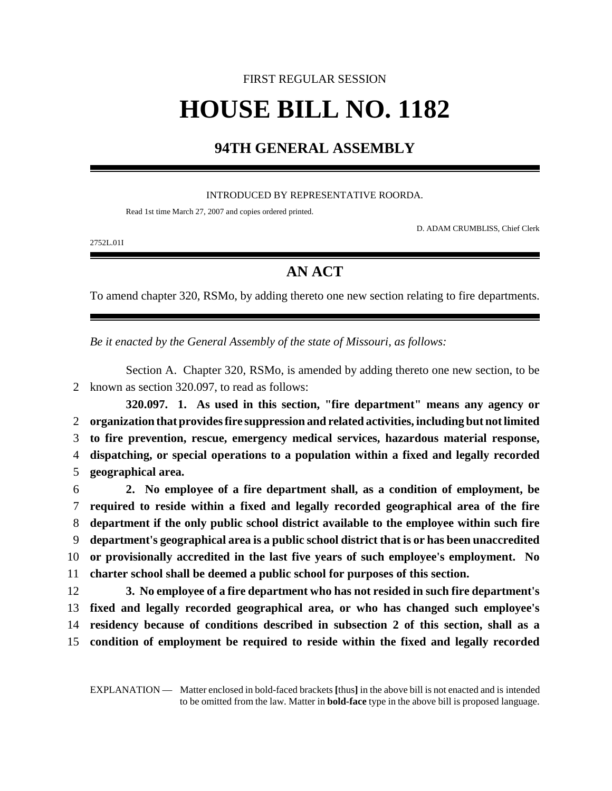## FIRST REGULAR SESSION **HOUSE BILL NO. 1182**

## **94TH GENERAL ASSEMBLY**

## INTRODUCED BY REPRESENTATIVE ROORDA.

Read 1st time March 27, 2007 and copies ordered printed.

D. ADAM CRUMBLISS, Chief Clerk

2752L.01I

## **AN ACT**

To amend chapter 320, RSMo, by adding thereto one new section relating to fire departments.

*Be it enacted by the General Assembly of the state of Missouri, as follows:*

Section A. Chapter 320, RSMo, is amended by adding thereto one new section, to be 2 known as section 320.097, to read as follows:

**320.097. 1. As used in this section, "fire department" means any agency or organization that provides fire suppression and related activities, including but not limited to fire prevention, rescue, emergency medical services, hazardous material response, dispatching, or special operations to a population within a fixed and legally recorded geographical area.**

 **2. No employee of a fire department shall, as a condition of employment, be required to reside within a fixed and legally recorded geographical area of the fire department if the only public school district available to the employee within such fire department's geographical area is a public school district that is or has been unaccredited or provisionally accredited in the last five years of such employee's employment. No charter school shall be deemed a public school for purposes of this section.**

 **3. No employee of a fire department who has not resided in such fire department's fixed and legally recorded geographical area, or who has changed such employee's residency because of conditions described in subsection 2 of this section, shall as a condition of employment be required to reside within the fixed and legally recorded**